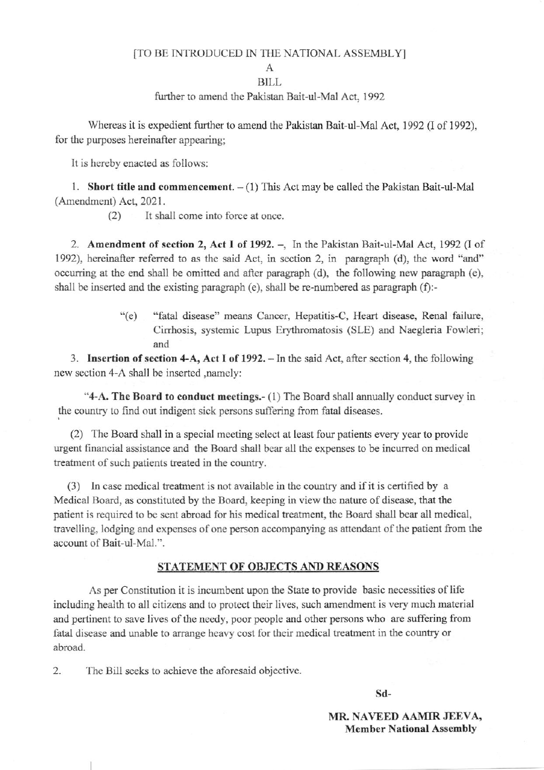#### [TO BE INTRODUCED IN THE NATIONAL ASSEMBLY]

 $\mathsf{A}$ 

### **BILL**

further to amend the Pakistan Bait-ul-Mal Act, 1992

Whereas it is expedient further to amend the Pakistan Bait-ul-Mal Act, 1992 (I of 1992), for the purposes hereinafter appearing:

It is hereby enacted as follows:

1. Short title and commencement.  $-(1)$  This Act may be called the Pakistan Bait-ul-Mal (Amendment) Act, 2021.

> $(2)$ It shall come into force at once.

2. Amendment of section 2, Act I of 1992. -, In the Pakistan Bait-ul-Mal Act, 1992 (I of 1992), hereinafter referred to as the said Act, in section 2, in paragraph (d), the word "and" occurring at the end shall be omitted and after paragraph (d), the following new paragraph (e), shall be inserted and the existing paragraph (e), shall be re-numbered as paragraph (f):-

> $\degree$ (e) "fatal disease" means Cancer, Hepatitis-C, Heart disease, Renal failure, Cirrhosis, systemic Lupus Erythromatosis (SLE) and Naegleria Fowleri; and

3. Insertion of section 4-A, Act I of 1992. - In the said Act, after section 4, the following new section 4-A shall be inserted , namely:

"4-A. The Board to conduct meetings.- (1) The Board shall annually conduct survey in the country to find out indigent sick persons suffering from fatal diseases.

(2) The Board shall in a special meeting select at least four patients every year to provide urgent financial assistance and the Board shall bear all the expenses to be incurred on medical treatment of such patients treated in the country.

(3) In case medical treatment is not available in the country and if it is certified by a Medical Board, as constituted by the Board, keeping in view the nature of disease, that the patient is required to be sent abroad for his medical treatment, the Board shall bear all medical, travelling, lodging and expenses of one person accompanying as attendant of the patient from the account of Bait-ul-Mal.".

#### STATEMENT OF OBJECTS AND REASONS

As per Constitution it is incumbent upon the State to provide basic necessities of life including health to all citizens and to protect their lives, such amendment is very much material and pertinent to save lives of the needy, poor people and other persons who are suffering from fatal disease and unable to arrange heavy cost for their medical treatment in the country or abroad.

 $\overline{2}$ . The Bill seeks to achieve the aforesaid objective.

Sd-

MR. NAVEED AAMIR JEEVA, **Member National Assembly**